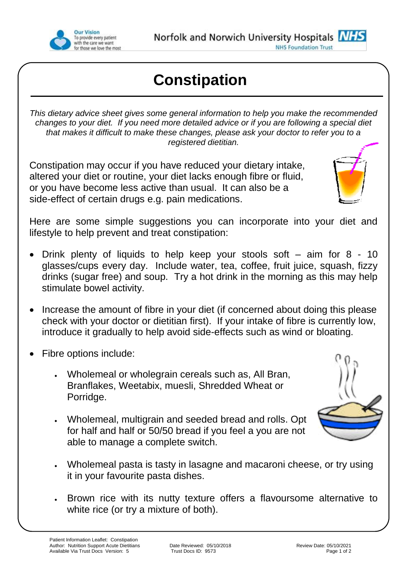

## **Constipation**

*This dietary advice sheet gives some general information to help you make the recommended changes to your diet. If you need more detailed advice or if you are following a special diet that makes it difficult to make these changes, please ask your doctor to refer you to a registered dietitian.*

Constipation may occur if you have reduced your dietary intake, altered your diet or routine, your diet lacks enough fibre or fluid, or you have become less active than usual. It can also be a side-effect of certain drugs e.g. pain medications.



Here are some simple suggestions you can incorporate into your diet and lifestyle to help prevent and treat constipation:

- Drink plenty of liquids to help keep your stools soft aim for 8 10 glasses/cups every day. Include water, tea, coffee, fruit juice, squash, fizzy drinks (sugar free) and soup. Try a hot drink in the morning as this may help stimulate bowel activity.
- Increase the amount of fibre in your diet (if concerned about doing this please check with your doctor or dietitian first). If your intake of fibre is currently low, introduce it gradually to help avoid side-effects such as wind or bloating.
- Fibre options include:
	- Wholemeal or wholegrain cereals such as, All Bran, Branflakes, Weetabix, muesli, Shredded Wheat or Porridge.
	- Wholemeal, multigrain and seeded bread and rolls. Opt for half and half or 50/50 bread if you feel a you are not able to manage a complete switch.
	- Wholemeal pasta is tasty in lasagne and macaroni cheese, or try using it in your favourite pasta dishes.
	- Brown rice with its nutty texture offers a flavoursome alternative to white rice (or try a mixture of both).